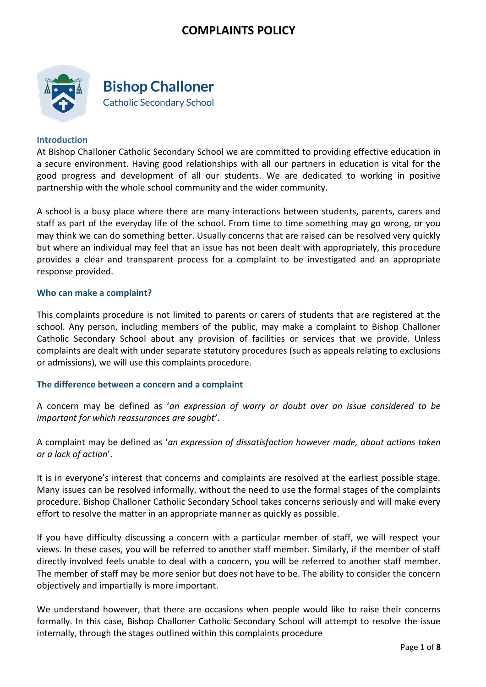

**Bishop Challoner Catholic Secondary School** 

#### **Introduction**

At Bishop Challoner Catholic Secondary School we are committed to providing effective education in a secure environment. Having good relationships with all our partners in education is vital for the good progress and development of all our students. We are dedicated to working in positive partnership with the whole school community and the wider community.

A school is a busy place where there are many interactions between students, parents, carers and staff as part of the everyday life of the school. From time to time something may go wrong, or you may think we can do something better. Usually concerns that are raised can be resolved very quickly but where an individual may feel that an issue has not been dealt with appropriately, this procedure provides a clear and transparent process for a complaint to be investigated and an appropriate response provided.

#### **Who can make a complaint?**

This complaints procedure is not limited to parents or carers of students that are registered at the school. Any person, including members of the public, may make a complaint to Bishop Challoner Catholic Secondary School about any provision of facilities or services that we provide. Unless complaints are dealt with under separate statutory procedures (such as appeals relating to exclusions or admissions), we will use this complaints procedure.

### **The difference between a concern and a complaint**

A concern may be defined as '*an expression of worry or doubt over an issue considered to be important for which reassurances are sought'*.

A complaint may be defined as '*an expression of dissatisfaction however made, about actions taken or a lack of action*'.

It is in everyone's interest that concerns and complaints are resolved at the earliest possible stage. Many issues can be resolved informally, without the need to use the formal stages of the complaints procedure. Bishop Challoner Catholic Secondary School takes concerns seriously and will make every effort to resolve the matter in an appropriate manner as quickly as possible.

If you have difficulty discussing a concern with a particular member of staff, we will respect your views. In these cases, you will be referred to another staff member. Similarly, if the member of staff directly involved feels unable to deal with a concern, you will be referred to another staff member. The member of staff may be more senior but does not have to be. The ability to consider the concern objectively and impartially is more important.

We understand however, that there are occasions when people would like to raise their concerns formally. In this case, Bishop Challoner Catholic Secondary School will attempt to resolve the issue internally, through the stages outlined within this complaints procedure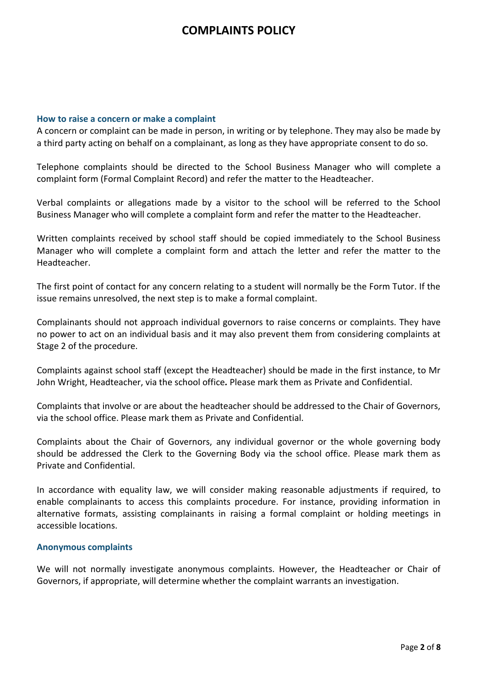#### **How to raise a concern or make a complaint**

A concern or complaint can be made in person, in writing or by telephone. They may also be made by a third party acting on behalf on a complainant, as long as they have appropriate consent to do so.

Telephone complaints should be directed to the School Business Manager who will complete a complaint form (Formal Complaint Record) and refer the matter to the Headteacher.

Verbal complaints or allegations made by a visitor to the school will be referred to the School Business Manager who will complete a complaint form and refer the matter to the Headteacher.

Written complaints received by school staff should be copied immediately to the School Business Manager who will complete a complaint form and attach the letter and refer the matter to the Headteacher.

The first point of contact for any concern relating to a student will normally be the Form Tutor. If the issue remains unresolved, the next step is to make a formal complaint.

Complainants should not approach individual governors to raise concerns or complaints. They have no power to act on an individual basis and it may also prevent them from considering complaints at Stage 2 of the procedure.

Complaints against school staff (except the Headteacher) should be made in the first instance, to Mr John Wright, Headteacher, via the school office*.* Please mark them as Private and Confidential.

Complaints that involve or are about the headteacher should be addressed to the Chair of Governors, via the school office. Please mark them as Private and Confidential.

Complaints about the Chair of Governors, any individual governor or the whole governing body should be addressed the Clerk to the Governing Body via the school office. Please mark them as Private and Confidential.

In accordance with equality law, we will consider making reasonable adjustments if required, to enable complainants to access this complaints procedure. For instance, providing information in alternative formats, assisting complainants in raising a formal complaint or holding meetings in accessible locations.

#### **Anonymous complaints**

We will not normally investigate anonymous complaints. However, the Headteacher or Chair of Governors, if appropriate, will determine whether the complaint warrants an investigation.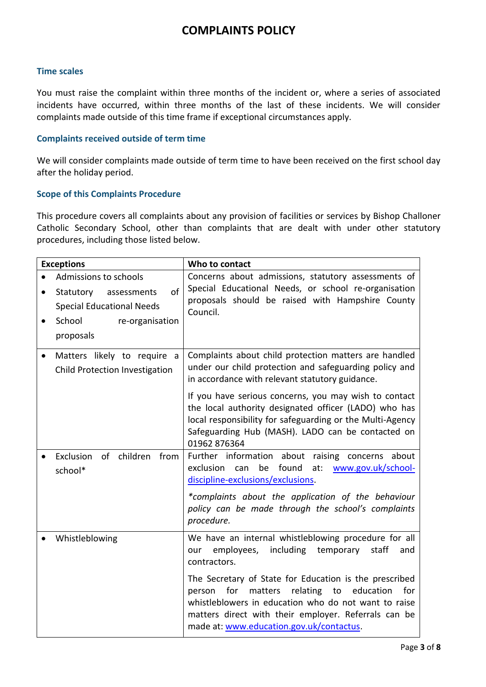### **Time scales**

You must raise the complaint within three months of the incident or, where a series of associated incidents have occurred, within three months of the last of these incidents. We will consider complaints made outside of this time frame if exceptional circumstances apply.

### **Complaints received outside of term time**

We will consider complaints made outside of term time to have been received on the first school day after the holiday period.

#### **Scope of this Complaints Procedure**

This procedure covers all complaints about any provision of facilities or services by Bishop Challoner Catholic Secondary School, other than complaints that are dealt with under other statutory procedures, including those listed below.

| <b>Exceptions</b>      |                                                                                                                                       | Who to contact                                                                                                                                                                                                                                                                       |
|------------------------|---------------------------------------------------------------------------------------------------------------------------------------|--------------------------------------------------------------------------------------------------------------------------------------------------------------------------------------------------------------------------------------------------------------------------------------|
| $\bullet$<br>$\bullet$ | Admissions to schools<br>of<br>Statutory<br>assessments<br><b>Special Educational Needs</b><br>School<br>re-organisation<br>proposals | Concerns about admissions, statutory assessments of<br>Special Educational Needs, or school re-organisation<br>proposals should be raised with Hampshire County<br>Council.                                                                                                          |
|                        | Matters likely to require a<br>Child Protection Investigation                                                                         | Complaints about child protection matters are handled<br>under our child protection and safeguarding policy and<br>in accordance with relevant statutory guidance.                                                                                                                   |
|                        |                                                                                                                                       | If you have serious concerns, you may wish to contact<br>the local authority designated officer (LADO) who has<br>local responsibility for safeguarding or the Multi-Agency<br>Safeguarding Hub (MASH). LADO can be contacted on<br>01962 876364                                     |
|                        | of children from<br>Exclusion<br>school*                                                                                              | Further information about raising concerns about<br>found<br>be<br>at:<br>exclusion<br>can<br>www.gov.uk/school-<br>discipline-exclusions/exclusions.<br>*complaints about the application of the behaviour<br>policy can be made through the school's complaints<br>procedure.      |
|                        | Whistleblowing                                                                                                                        | We have an internal whistleblowing procedure for all<br>including<br>employees,<br>temporary<br>staff<br>our<br>and<br>contractors.                                                                                                                                                  |
|                        |                                                                                                                                       | The Secretary of State for Education is the prescribed<br>relating<br>for<br>to<br>education<br>for<br>person<br>matters<br>whistleblowers in education who do not want to raise<br>matters direct with their employer. Referrals can be<br>made at: www.education.gov.uk/contactus. |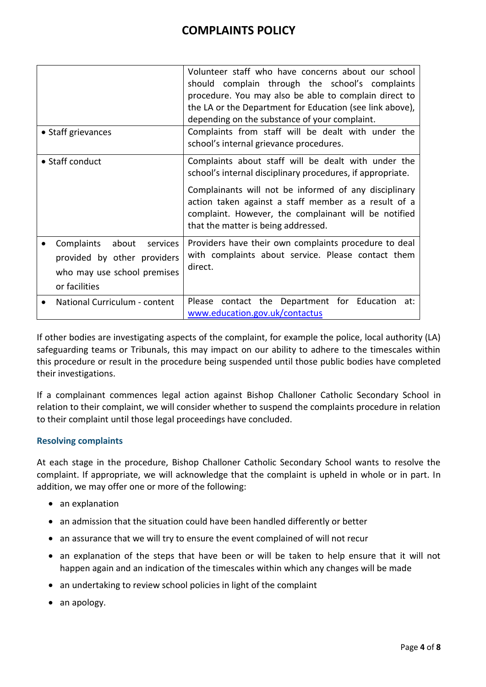| • Staff grievances                                                                                             | Volunteer staff who have concerns about our school<br>should complain through the school's complaints<br>procedure. You may also be able to complain direct to<br>the LA or the Department for Education (see link above),<br>depending on the substance of your complaint.<br>Complaints from staff will be dealt with under the<br>school's internal grievance procedures. |  |
|----------------------------------------------------------------------------------------------------------------|------------------------------------------------------------------------------------------------------------------------------------------------------------------------------------------------------------------------------------------------------------------------------------------------------------------------------------------------------------------------------|--|
| • Staff conduct                                                                                                | Complaints about staff will be dealt with under the<br>school's internal disciplinary procedures, if appropriate.<br>Complainants will not be informed of any disciplinary<br>action taken against a staff member as a result of a<br>complaint. However, the complainant will be notified<br>that the matter is being addressed.                                            |  |
| about<br>Complaints<br>services<br>provided by other providers<br>who may use school premises<br>or facilities | Providers have their own complaints procedure to deal<br>with complaints about service. Please contact them<br>direct.                                                                                                                                                                                                                                                       |  |
| National Curriculum - content                                                                                  | Please contact the Department for Education<br>at:<br>www.education.gov.uk/contactus                                                                                                                                                                                                                                                                                         |  |

If other bodies are investigating aspects of the complaint, for example the police, local authority (LA) safeguarding teams or Tribunals, this may impact on our ability to adhere to the timescales within this procedure or result in the procedure being suspended until those public bodies have completed their investigations.

If a complainant commences legal action against Bishop Challoner Catholic Secondary School in relation to their complaint, we will consider whether to suspend the complaints procedure in relation to their complaint until those legal proceedings have concluded.

### **Resolving complaints**

At each stage in the procedure, Bishop Challoner Catholic Secondary School wants to resolve the complaint. If appropriate, we will acknowledge that the complaint is upheld in whole or in part. In addition, we may offer one or more of the following:

- an explanation
- an admission that the situation could have been handled differently or better
- an assurance that we will try to ensure the event complained of will not recur
- an explanation of the steps that have been or will be taken to help ensure that it will not happen again and an indication of the timescales within which any changes will be made
- an undertaking to review school policies in light of the complaint
- an apology.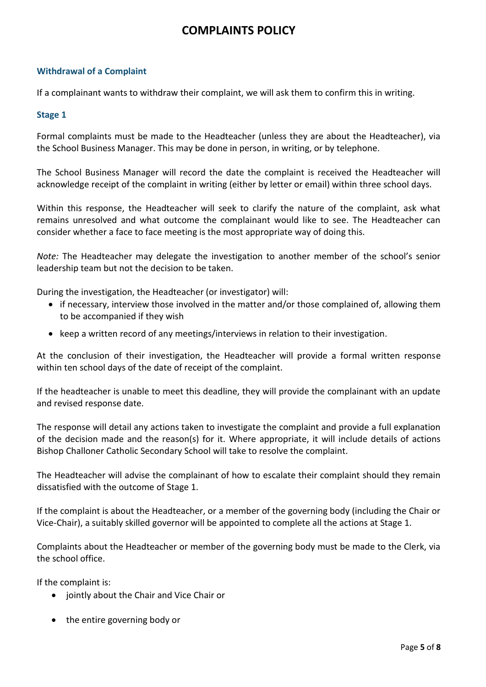### **Withdrawal of a Complaint**

If a complainant wants to withdraw their complaint, we will ask them to confirm this in writing.

#### **Stage 1**

Formal complaints must be made to the Headteacher (unless they are about the Headteacher), via the School Business Manager. This may be done in person, in writing, or by telephone.

The School Business Manager will record the date the complaint is received the Headteacher will acknowledge receipt of the complaint in writing (either by letter or email) within three school days.

Within this response, the Headteacher will seek to clarify the nature of the complaint, ask what remains unresolved and what outcome the complainant would like to see. The Headteacher can consider whether a face to face meeting is the most appropriate way of doing this.

*Note:* The Headteacher may delegate the investigation to another member of the school's senior leadership team but not the decision to be taken.

During the investigation, the Headteacher (or investigator) will:

- if necessary, interview those involved in the matter and/or those complained of, allowing them to be accompanied if they wish
- keep a written record of any meetings/interviews in relation to their investigation.

At the conclusion of their investigation, the Headteacher will provide a formal written response within ten school days of the date of receipt of the complaint.

If the headteacher is unable to meet this deadline, they will provide the complainant with an update and revised response date.

The response will detail any actions taken to investigate the complaint and provide a full explanation of the decision made and the reason(s) for it. Where appropriate, it will include details of actions Bishop Challoner Catholic Secondary School will take to resolve the complaint.

The Headteacher will advise the complainant of how to escalate their complaint should they remain dissatisfied with the outcome of Stage 1.

If the complaint is about the Headteacher, or a member of the governing body (including the Chair or Vice-Chair), a suitably skilled governor will be appointed to complete all the actions at Stage 1.

Complaints about the Headteacher or member of the governing body must be made to the Clerk, via the school office.

If the complaint is:

- jointly about the Chair and Vice Chair or
- the entire governing body or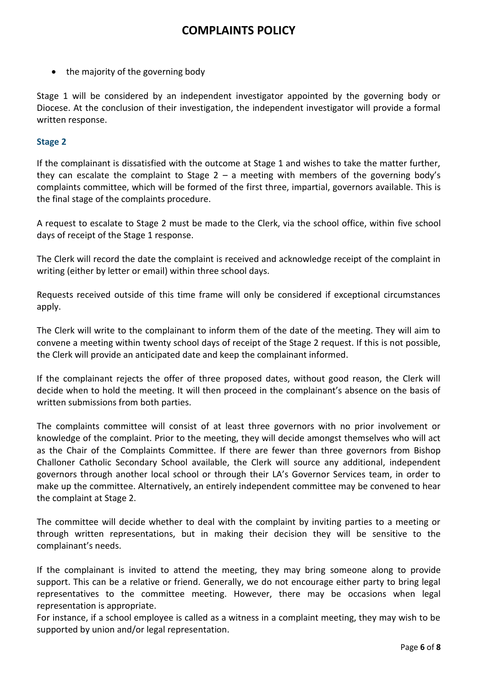• the majority of the governing body

Stage 1 will be considered by an independent investigator appointed by the governing body or Diocese. At the conclusion of their investigation, the independent investigator will provide a formal written response.

### **Stage 2**

If the complainant is dissatisfied with the outcome at Stage 1 and wishes to take the matter further, they can escalate the complaint to Stage  $2 - a$  meeting with members of the governing body's complaints committee, which will be formed of the first three, impartial, governors available. This is the final stage of the complaints procedure.

A request to escalate to Stage 2 must be made to the Clerk, via the school office, within five school days of receipt of the Stage 1 response.

The Clerk will record the date the complaint is received and acknowledge receipt of the complaint in writing (either by letter or email) within three school days.

Requests received outside of this time frame will only be considered if exceptional circumstances apply.

The Clerk will write to the complainant to inform them of the date of the meeting. They will aim to convene a meeting within twenty school days of receipt of the Stage 2 request. If this is not possible, the Clerk will provide an anticipated date and keep the complainant informed.

If the complainant rejects the offer of three proposed dates, without good reason, the Clerk will decide when to hold the meeting. It will then proceed in the complainant's absence on the basis of written submissions from both parties.

The complaints committee will consist of at least three governors with no prior involvement or knowledge of the complaint. Prior to the meeting, they will decide amongst themselves who will act as the Chair of the Complaints Committee. If there are fewer than three governors from Bishop Challoner Catholic Secondary School available, the Clerk will source any additional, independent governors through another local school or through their LA's Governor Services team, in order to make up the committee. Alternatively, an entirely independent committee may be convened to hear the complaint at Stage 2.

The committee will decide whether to deal with the complaint by inviting parties to a meeting or through written representations, but in making their decision they will be sensitive to the complainant's needs.

If the complainant is invited to attend the meeting, they may bring someone along to provide support. This can be a relative or friend. Generally, we do not encourage either party to bring legal representatives to the committee meeting. However, there may be occasions when legal representation is appropriate.

For instance, if a school employee is called as a witness in a complaint meeting, they may wish to be supported by union and/or legal representation.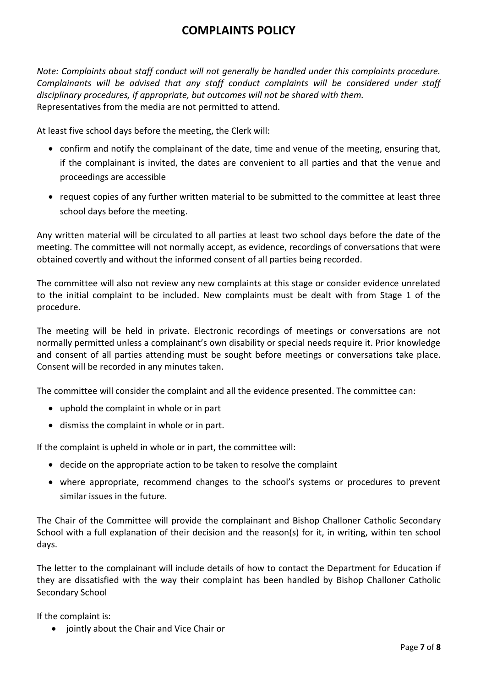*Note: Complaints about staff conduct will not generally be handled under this complaints procedure. Complainants will be advised that any staff conduct complaints will be considered under staff disciplinary procedures, if appropriate, but outcomes will not be shared with them.*  Representatives from the media are not permitted to attend.

At least five school days before the meeting, the Clerk will:

- confirm and notify the complainant of the date, time and venue of the meeting, ensuring that, if the complainant is invited, the dates are convenient to all parties and that the venue and proceedings are accessible
- request copies of any further written material to be submitted to the committee at least three school days before the meeting.

Any written material will be circulated to all parties at least two school days before the date of the meeting. The committee will not normally accept, as evidence, recordings of conversations that were obtained covertly and without the informed consent of all parties being recorded.

The committee will also not review any new complaints at this stage or consider evidence unrelated to the initial complaint to be included. New complaints must be dealt with from Stage 1 of the procedure.

The meeting will be held in private. Electronic recordings of meetings or conversations are not normally permitted unless a complainant's own disability or special needs require it. Prior knowledge and consent of all parties attending must be sought before meetings or conversations take place. Consent will be recorded in any minutes taken.

The committee will consider the complaint and all the evidence presented. The committee can:

- uphold the complaint in whole or in part
- dismiss the complaint in whole or in part.

If the complaint is upheld in whole or in part, the committee will:

- decide on the appropriate action to be taken to resolve the complaint
- where appropriate, recommend changes to the school's systems or procedures to prevent similar issues in the future.

The Chair of the Committee will provide the complainant and Bishop Challoner Catholic Secondary School with a full explanation of their decision and the reason(s) for it, in writing, within ten school days.

The letter to the complainant will include details of how to contact the Department for Education if they are dissatisfied with the way their complaint has been handled by Bishop Challoner Catholic Secondary School

If the complaint is:

jointly about the Chair and Vice Chair or